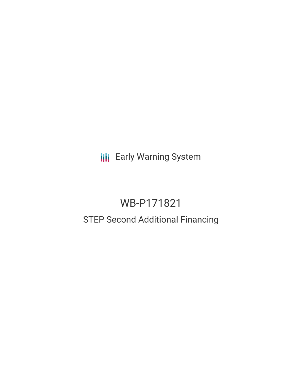**III** Early Warning System

# WB-P171821 STEP Second Additional Financing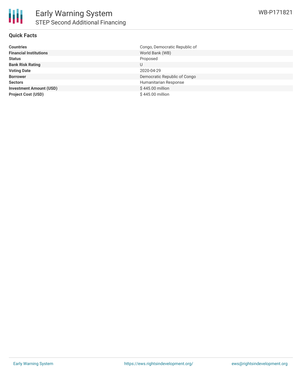## **Quick Facts**

| <b>Countries</b>               | Congo, Democratic Republic of |
|--------------------------------|-------------------------------|
| <b>Financial Institutions</b>  | World Bank (WB)               |
| <b>Status</b>                  | Proposed                      |
| <b>Bank Risk Rating</b>        | U                             |
| <b>Voting Date</b>             | 2020-04-29                    |
| <b>Borrower</b>                | Democratic Republic of Congo  |
| <b>Sectors</b>                 | Humanitarian Response         |
| <b>Investment Amount (USD)</b> | \$445,00 million              |
| <b>Project Cost (USD)</b>      | \$445.00 million              |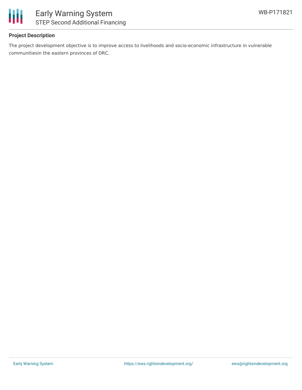

# **Project Description**

The project development objective is to improve access to livelihoods and socio-economic infrastructure in vulnerable communitiesin the eastern provinces of DRC.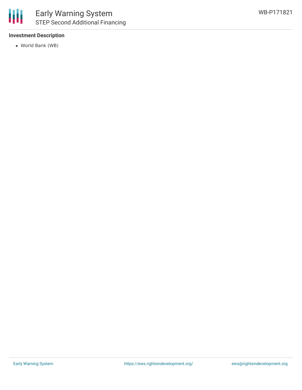### **Investment Description**

World Bank (WB)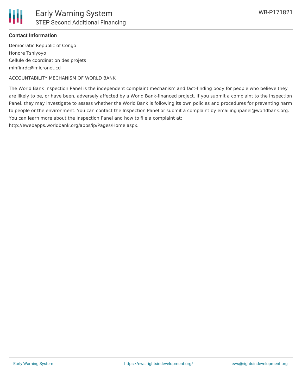

### **Contact Information**

Democratic Republic of Congo Honore Tshiyoyo Cellule de coordination des projets minfinrdc@micronet.cd

ACCOUNTABILITY MECHANISM OF WORLD BANK

The World Bank Inspection Panel is the independent complaint mechanism and fact-finding body for people who believe they are likely to be, or have been, adversely affected by a World Bank-financed project. If you submit a complaint to the Inspection Panel, they may investigate to assess whether the World Bank is following its own policies and procedures for preventing harm to people or the environment. You can contact the Inspection Panel or submit a complaint by emailing ipanel@worldbank.org. You can learn more about the Inspection Panel and how to file a complaint at:

http://ewebapps.worldbank.org/apps/ip/Pages/Home.aspx.